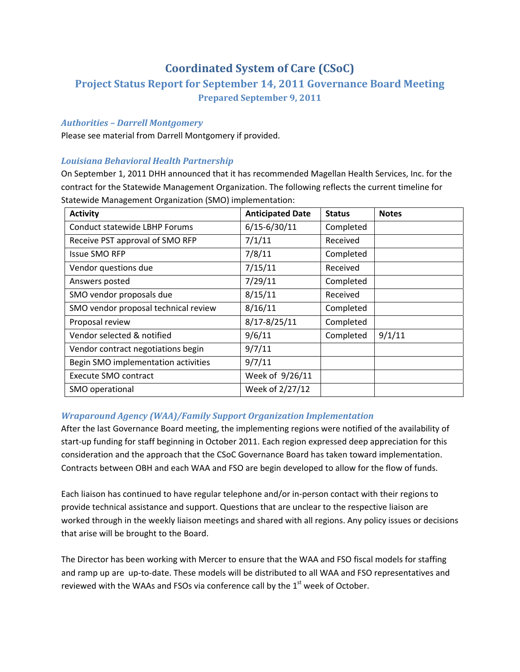# **Coordinated System of Care (CSoC)**

## **Project Status Report for September 14, 2011 Governance Board Meeting Prepared September 9, 2011**

## *Authorities – Darrell Montgomery*

Please see material from Darrell Montgomery if provided.

## *Louisiana Behavioral Health Partnership*

On September 1, 2011 DHH announced that it has recommended Magellan Health Services, Inc. for the contract for the Statewide Management Organization. The following reflects the current timeline for Statewide Management Organization (SMO) implementation:

| <b>Activity</b>                      | <b>Anticipated Date</b> | <b>Status</b> | <b>Notes</b> |
|--------------------------------------|-------------------------|---------------|--------------|
| Conduct statewide LBHP Forums        | $6/15 - 6/30/11$        | Completed     |              |
| Receive PST approval of SMO RFP      | 7/1/11                  | Received      |              |
| <b>Issue SMO RFP</b>                 | 7/8/11                  | Completed     |              |
| Vendor questions due                 | 7/15/11                 | Received      |              |
| Answers posted                       | 7/29/11                 | Completed     |              |
| SMO vendor proposals due             | 8/15/11                 | Received      |              |
| SMO vendor proposal technical review | 8/16/11                 | Completed     |              |
| Proposal review                      | $8/17 - 8/25/11$        | Completed     |              |
| Vendor selected & notified           | 9/6/11                  | Completed     | 9/1/11       |
| Vendor contract negotiations begin   | 9/7/11                  |               |              |
| Begin SMO implementation activities  | 9/7/11                  |               |              |
| Execute SMO contract                 | Week of 9/26/11         |               |              |
| SMO operational                      | Week of 2/27/12         |               |              |

## *Wraparound Agency (WAA)/Family Support Organization Implementation*

After the last Governance Board meeting, the implementing regions were notified of the availability of start-up funding for staff beginning in October 2011. Each region expressed deep appreciation for this consideration and the approach that the CSoC Governance Board has taken toward implementation. Contracts between OBH and each WAA and FSO are begin developed to allow for the flow of funds.

Each liaison has continued to have regular telephone and/or in‐person contact with their regions to provide technical assistance and support. Questions that are unclear to the respective liaison are worked through in the weekly liaison meetings and shared with all regions. Any policy issues or decisions that arise will be brought to the Board.

The Director has been working with Mercer to ensure that the WAA and FSO fiscal models for staffing and ramp up are up-to-date. These models will be distributed to all WAA and FSO representatives and reviewed with the WAAs and FSOs via conference call by the  $1<sup>st</sup>$  week of October.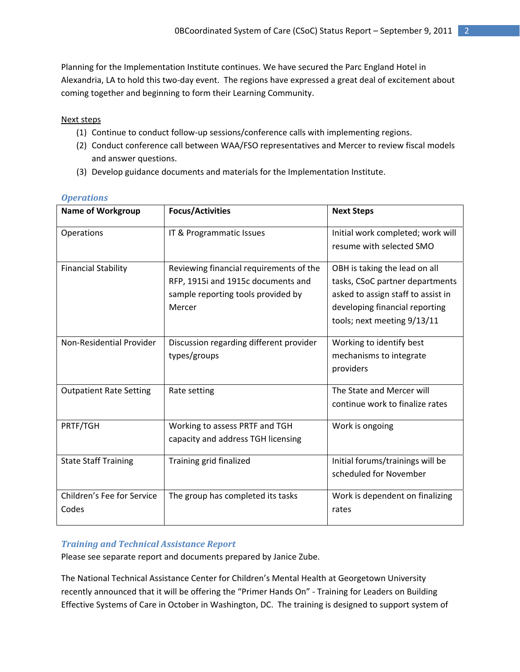Planning for the Implementation Institute continues. We have secured the Parc England Hotel in Alexandria, LA to hold this two‐day event. The regions have expressed a great deal of excitement about coming together and beginning to form their Learning Community.

## Next steps

- (1) Continue to conduct follow‐up sessions/conference calls with implementing regions.
- (2) Conduct conference call between WAA/FSO representatives and Mercer to review fiscal models and answer questions.
- (3) Develop guidance documents and materials for the Implementation Institute.

| <b>Name of Workgroup</b>            | <b>Focus/Activities</b>                                                                                                       | <b>Next Steps</b>                                                                                                                                                       |
|-------------------------------------|-------------------------------------------------------------------------------------------------------------------------------|-------------------------------------------------------------------------------------------------------------------------------------------------------------------------|
| Operations                          | IT & Programmatic Issues                                                                                                      | Initial work completed; work will<br>resume with selected SMO                                                                                                           |
| <b>Financial Stability</b>          | Reviewing financial requirements of the<br>RFP, 1915i and 1915c documents and<br>sample reporting tools provided by<br>Mercer | OBH is taking the lead on all<br>tasks, CSoC partner departments<br>asked to assign staff to assist in<br>developing financial reporting<br>tools; next meeting 9/13/11 |
| Non-Residential Provider            | Discussion regarding different provider<br>types/groups                                                                       | Working to identify best<br>mechanisms to integrate<br>providers                                                                                                        |
| <b>Outpatient Rate Setting</b>      | Rate setting                                                                                                                  | The State and Mercer will<br>continue work to finalize rates                                                                                                            |
| PRTF/TGH                            | Working to assess PRTF and TGH<br>capacity and address TGH licensing                                                          | Work is ongoing                                                                                                                                                         |
| <b>State Staff Training</b>         | Training grid finalized                                                                                                       | Initial forums/trainings will be<br>scheduled for November                                                                                                              |
| Children's Fee for Service<br>Codes | The group has completed its tasks                                                                                             | Work is dependent on finalizing<br>rates                                                                                                                                |

## *Operations*

## *Training and Technical Assistance Report*

Please see separate report and documents prepared by Janice Zube.

The National Technical Assistance Center for Children's Mental Health at Georgetown University recently announced that it will be offering the "Primer Hands On" ‐ Training for Leaders on Building Effective Systems of Care in October in Washington, DC. The training is designed to support system of